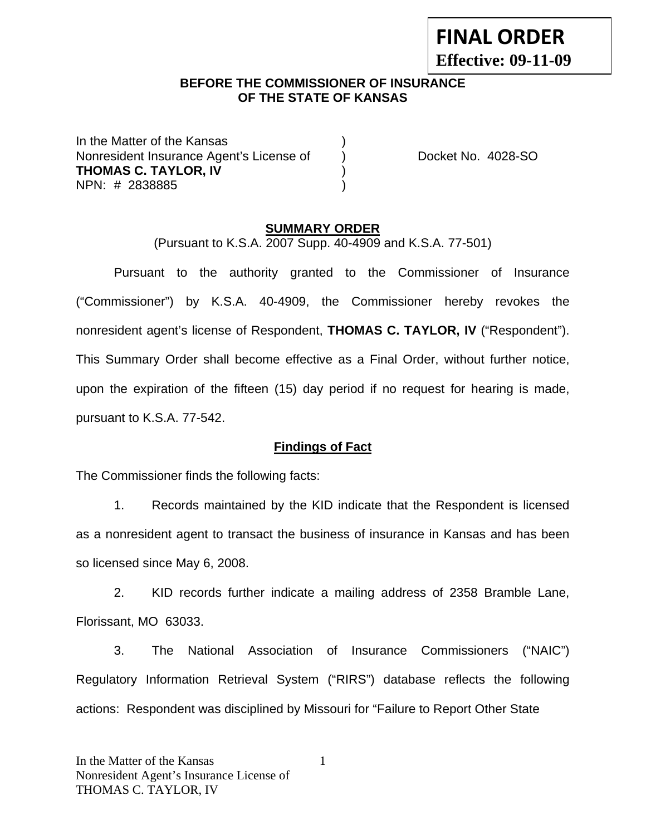#### **BEFORE THE COMMISSIONER OF INSURANCE OF THE STATE OF KANSAS**

In the Matter of the Kansas Nonresident Insurance Agent's License of (a) Docket No. 4028-SO **THOMAS C. TAYLOR, IV** ) NPN: # 2838885 )

#### **SUMMARY ORDER**

(Pursuant to K.S.A. 2007 Supp. 40-4909 and K.S.A. 77-501)

 Pursuant to the authority granted to the Commissioner of Insurance ("Commissioner") by K.S.A. 40-4909, the Commissioner hereby revokes the nonresident agent's license of Respondent, **THOMAS C. TAYLOR, IV** ("Respondent"). This Summary Order shall become effective as a Final Order, without further notice, upon the expiration of the fifteen (15) day period if no request for hearing is made, pursuant to K.S.A. 77-542.

#### **Findings of Fact**

The Commissioner finds the following facts:

 1. Records maintained by the KID indicate that the Respondent is licensed as a nonresident agent to transact the business of insurance in Kansas and has been so licensed since May 6, 2008.

 2. KID records further indicate a mailing address of 2358 Bramble Lane, Florissant, MO 63033.

 3. The National Association of Insurance Commissioners ("NAIC") Regulatory Information Retrieval System ("RIRS") database reflects the following actions: Respondent was disciplined by Missouri for "Failure to Report Other State

# **FINAL ORDER**

**Effective: 09-11-09**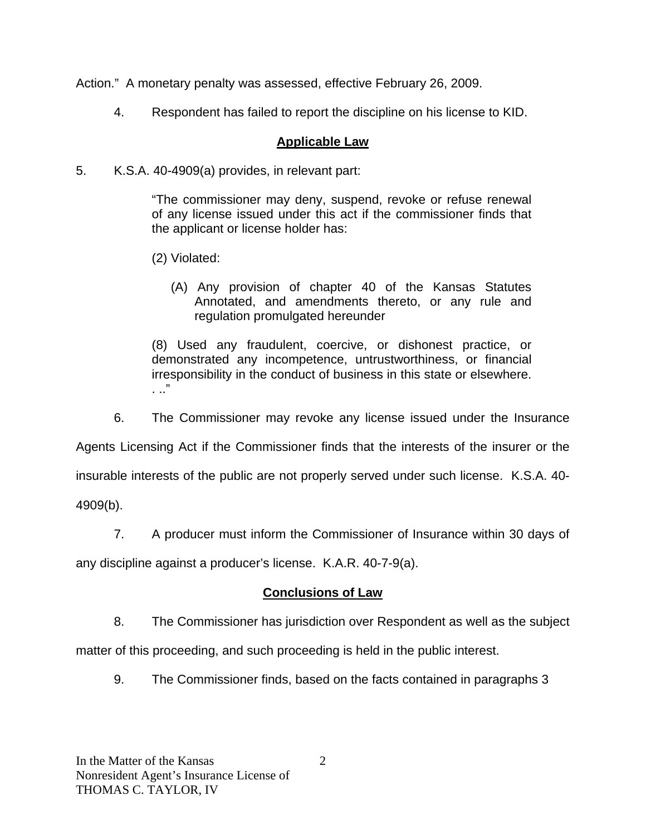Action." A monetary penalty was assessed, effective February 26, 2009.

4. Respondent has failed to report the discipline on his license to KID.

# **Applicable Law**

5. K.S.A. 40-4909(a) provides, in relevant part:

"The commissioner may deny, suspend, revoke or refuse renewal of any license issued under this act if the commissioner finds that the applicant or license holder has:

- (2) Violated:
	- (A) Any provision of chapter 40 of the Kansas Statutes Annotated, and amendments thereto, or any rule and regulation promulgated hereunder

(8) Used any fraudulent, coercive, or dishonest practice, or demonstrated any incompetence, untrustworthiness, or financial irresponsibility in the conduct of business in this state or elsewhere. . .."

6. The Commissioner may revoke any license issued under the Insurance

Agents Licensing Act if the Commissioner finds that the interests of the insurer or the

insurable interests of the public are not properly served under such license. K.S.A. 40-

4909(b).

7. A producer must inform the Commissioner of Insurance within 30 days of

any discipline against a producer's license. K.A.R. 40-7-9(a).

## **Conclusions of Law**

8. The Commissioner has jurisdiction over Respondent as well as the subject

matter of this proceeding, and such proceeding is held in the public interest.

9. The Commissioner finds, based on the facts contained in paragraphs 3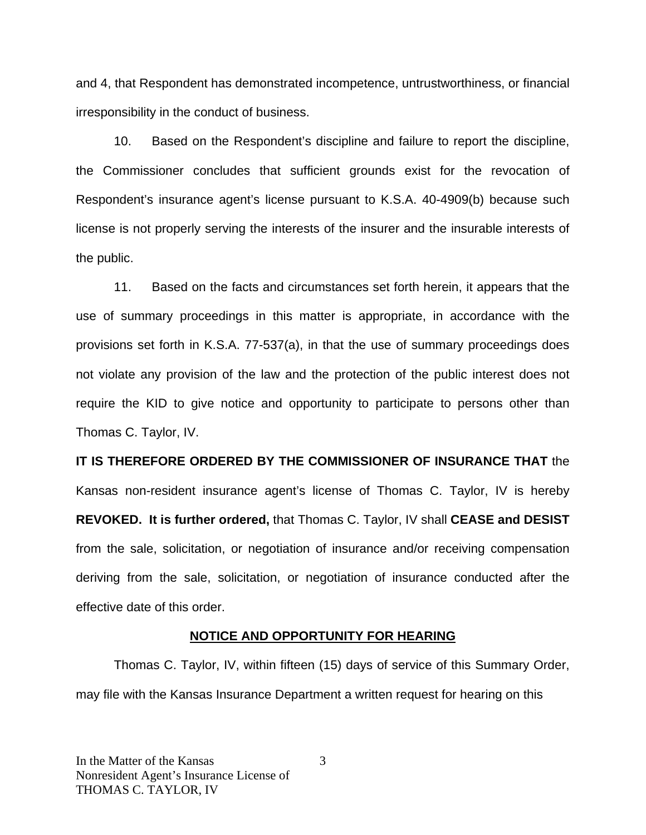and 4, that Respondent has demonstrated incompetence, untrustworthiness, or financial irresponsibility in the conduct of business.

 10. Based on the Respondent's discipline and failure to report the discipline, the Commissioner concludes that sufficient grounds exist for the revocation of Respondent's insurance agent's license pursuant to K.S.A. 40-4909(b) because such license is not properly serving the interests of the insurer and the insurable interests of the public.

 11. Based on the facts and circumstances set forth herein, it appears that the use of summary proceedings in this matter is appropriate, in accordance with the provisions set forth in K.S.A. 77-537(a), in that the use of summary proceedings does not violate any provision of the law and the protection of the public interest does not require the KID to give notice and opportunity to participate to persons other than Thomas C. Taylor, IV.

**IT IS THEREFORE ORDERED BY THE COMMISSIONER OF INSURANCE THAT** the Kansas non-resident insurance agent's license of Thomas C. Taylor, IV is hereby **REVOKED. It is further ordered,** that Thomas C. Taylor, IV shall **CEASE and DESIST** from the sale, solicitation, or negotiation of insurance and/or receiving compensation deriving from the sale, solicitation, or negotiation of insurance conducted after the effective date of this order.

#### **NOTICE AND OPPORTUNITY FOR HEARING**

Thomas C. Taylor, IV, within fifteen (15) days of service of this Summary Order, may file with the Kansas Insurance Department a written request for hearing on this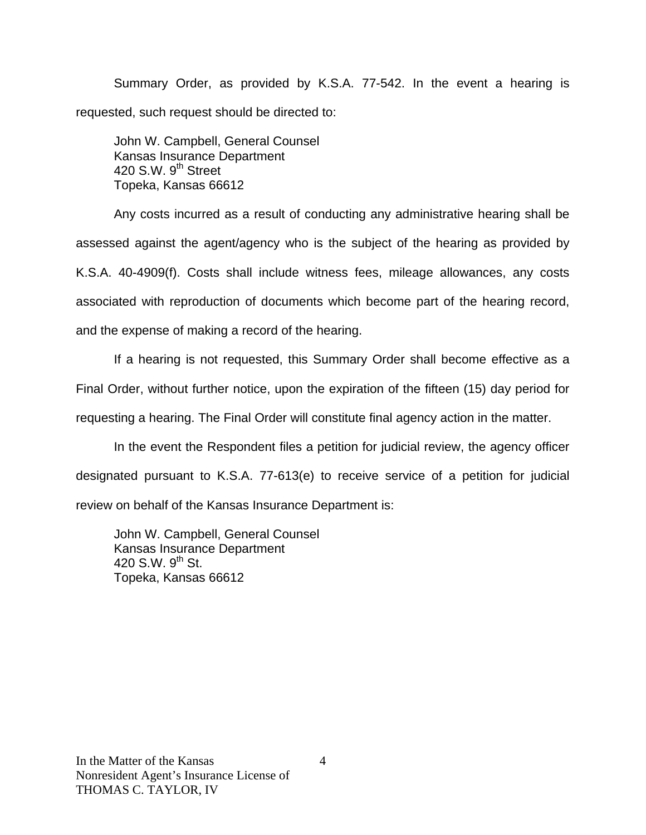Summary Order, as provided by K.S.A. 77-542. In the event a hearing is requested, such request should be directed to:

John W. Campbell, General Counsel Kansas Insurance Department 420 S.W.  $9<sup>th</sup>$  Street Topeka, Kansas 66612

Any costs incurred as a result of conducting any administrative hearing shall be assessed against the agent/agency who is the subject of the hearing as provided by K.S.A. 40-4909(f). Costs shall include witness fees, mileage allowances, any costs associated with reproduction of documents which become part of the hearing record, and the expense of making a record of the hearing.

If a hearing is not requested, this Summary Order shall become effective as a Final Order, without further notice, upon the expiration of the fifteen (15) day period for requesting a hearing. The Final Order will constitute final agency action in the matter.

In the event the Respondent files a petition for judicial review, the agency officer designated pursuant to K.S.A. 77-613(e) to receive service of a petition for judicial review on behalf of the Kansas Insurance Department is:

John W. Campbell, General Counsel Kansas Insurance Department 420 S.W.  $9^{th}$  St. Topeka, Kansas 66612